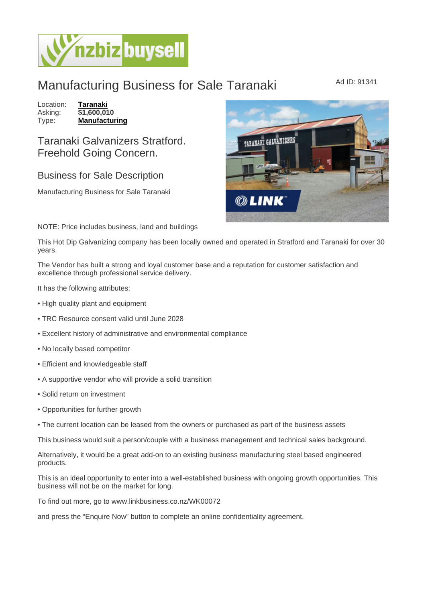## Manufacturing Business for Sale Taranaki Manufacturing Business for Sale Taranaki

Location: [Taranaki](https://www.nzbizbuysell.co.nz/businesses-for-sale/location/Taranaki) Asking: \$1,600,010<br>Type: Manufactur [Manufacturing](https://www.nzbizbuysell.co.nz/businesses-for-sale/Manufacturing/New-Zealand)

## Taranaki Galvanizers Stratford. Freehold Going Concern.

## Business for Sale Description

Manufacturing Business for Sale Taranaki

## NOTE: Price includes business, land and buildings

This Hot Dip Galvanizing company has been locally owned and operated in Stratford and Taranaki for over 30 years.

The Vendor has built a strong and loyal customer base and a reputation for customer satisfaction and excellence through professional service delivery.

It has the following attributes:

- High quality plant and equipment
- TRC Resource consent valid until June 2028
- Excellent history of administrative and environmental compliance
- No locally based competitor
- Efficient and knowledgeable staff
- A supportive vendor who will provide a solid transition
- Solid return on investment
- Opportunities for further growth
- The current location can be leased from the owners or purchased as part of the business assets

This business would suit a person/couple with a business management and technical sales background.

Alternatively, it would be a great add-on to an existing business manufacturing steel based engineered products.

This is an ideal opportunity to enter into a well-established business with ongoing growth opportunities. This business will not be on the market for long.

To find out more, go to www.linkbusiness.co.nz/WK00072

and press the "Enquire Now" button to complete an online confidentiality agreement.